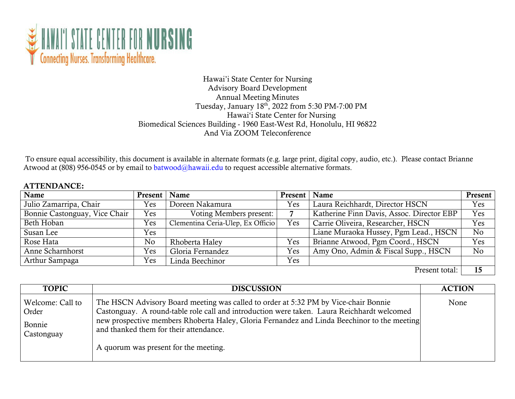

## Hawai'i State Center for Nursing Advisory Board Development Annual Meeting Minutes Tuesday, January 18th, 2022 from 5:30 PM-7:00 PM Hawai'i State Center for Nursing Biomedical Sciences Building - 1960 East-West Rd, Honolulu, HI 96822 And Via ZOOM Teleconference

To ensure equal accessibility, this document is available in alternate formats (e.g. large print, digital copy, audio, etc.). Please contact Brianne Atwood at (808) 956-0545 or by email to [batwood@hawaii.edu t](mailto:batwood@hawaii.edu)o request accessible alternative formats.

## ATTENDANCE:

| Name                          | Present   Name |                                   | Present | Name                                      | Present        |
|-------------------------------|----------------|-----------------------------------|---------|-------------------------------------------|----------------|
| Julio Zamarripa, Chair        | Yes            | Doreen Nakamura                   | Yes     | Laura Reichhardt, Director HSCN           | <b>Yes</b>     |
| Bonnie Castonguay, Vice Chair | Yes            | Voting Members present:           |         | Katherine Finn Davis, Assoc. Director EBP | Yes            |
| Beth Hoban                    | Yes            | Clementina Ceria-Ulep, Ex Officio | Yes     | Carrie Oliveira, Researcher, HSCN         | <b>Yes</b>     |
| Susan Lee                     | Yes            |                                   |         | Liane Muraoka Hussey, Pgm Lead., HSCN     | N <sub>0</sub> |
| Rose Hata                     | No             | Rhoberta Haley                    | Yes     | Brianne Atwood, Pgm Coord., HSCN          | Yes            |
| Anne Scharnhorst              | Yes            | Gloria Fernandez                  | Yes     | Amy Ono, Admin & Fiscal Supp., HSCN       | N <sub>o</sub> |
| Arthur Sampaga                | Yes            | Linda Beechinor                   | Yes     |                                           |                |
|                               |                |                                   |         | $\mathbf{m}$ . $\mathbf{m}$               |                |

Present total: | 15

| <b>TOPIC</b>                                      | <b>DISCUSSION</b>                                                                                                                                                                                                                                                                                                                                                   | <b>ACTION</b> |
|---------------------------------------------------|---------------------------------------------------------------------------------------------------------------------------------------------------------------------------------------------------------------------------------------------------------------------------------------------------------------------------------------------------------------------|---------------|
| Welcome: Call to<br>Order<br>Bonnie<br>Castonguay | The HSCN Advisory Board meeting was called to order at 5:32 PM by Vice-chair Bonnie<br>Castonguay. A round-table role call and introduction were taken. Laura Reichhardt welcomed<br>new prospective members Rhoberta Haley, Gloria Fernandez and Linda Beechinor to the meeting<br>and thanked them for their attendance.<br>A quorum was present for the meeting. | None          |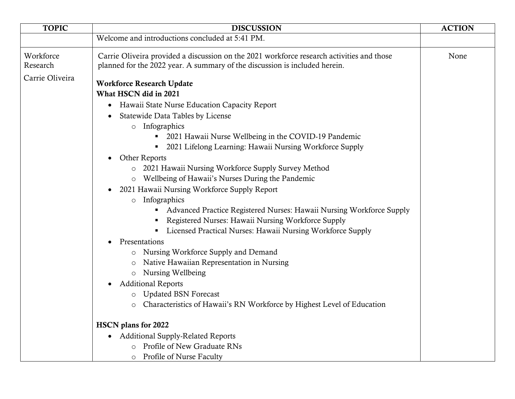| <b>TOPIC</b>                             | <b>DISCUSSION</b>                                                                                                                                                                                                                                                                                                                                                                                                                                                                                           | <b>ACTION</b> |
|------------------------------------------|-------------------------------------------------------------------------------------------------------------------------------------------------------------------------------------------------------------------------------------------------------------------------------------------------------------------------------------------------------------------------------------------------------------------------------------------------------------------------------------------------------------|---------------|
|                                          | Welcome and introductions concluded at 5:41 PM.                                                                                                                                                                                                                                                                                                                                                                                                                                                             |               |
| Workforce<br>Research<br>Carrie Oliveira | Carrie Oliveira provided a discussion on the 2021 workforce research activities and those<br>planned for the 2022 year. A summary of the discussion is included herein.<br><b>Workforce Research Update</b><br>What HSCN did in 2021<br>Hawaii State Nurse Education Capacity Report<br>$\bullet$<br>Statewide Data Tables by License<br>Infographics<br>$\circ$<br>2021 Hawaii Nurse Wellbeing in the COVID-19 Pandemic<br>2021 Lifelong Learning: Hawaii Nursing Workforce Supply<br><b>Other Reports</b> | None          |
|                                          | 2021 Hawaii Nursing Workforce Supply Survey Method<br>Wellbeing of Hawaii's Nurses During the Pandemic<br>$\circ$<br>2021 Hawaii Nursing Workforce Supply Report<br>Infographics<br>$\circ$<br>• Advanced Practice Registered Nurses: Hawaii Nursing Workforce Supply<br>Registered Nurses: Hawaii Nursing Workforce Supply<br>• Licensed Practical Nurses: Hawaii Nursing Workforce Supply                                                                                                                 |               |
|                                          | Presentations<br>Nursing Workforce Supply and Demand<br>$\circ$<br>Native Hawaiian Representation in Nursing<br>O<br>Nursing Wellbeing<br>$\circ$<br><b>Additional Reports</b><br>$\bullet$<br><b>Updated BSN Forecast</b><br>$\circ$<br>Characteristics of Hawaii's RN Workforce by Highest Level of Education<br>O                                                                                                                                                                                        |               |
|                                          | <b>HSCN</b> plans for 2022<br><b>Additional Supply-Related Reports</b><br>o Profile of New Graduate RNs<br>Profile of Nurse Faculty                                                                                                                                                                                                                                                                                                                                                                         |               |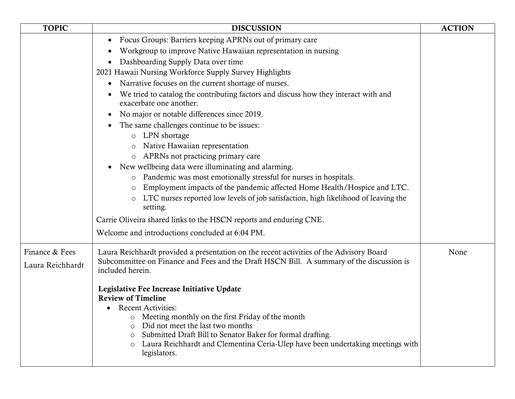| <b>TOPIC</b>     | <b>DISCUSSION</b>                                                                                              | <b>ACTION</b> |
|------------------|----------------------------------------------------------------------------------------------------------------|---------------|
|                  | Focus Groups: Barriers keeping APRNs out of primary care                                                       |               |
|                  | Workgroup to improve Native Hawaiian representation in nursing                                                 |               |
|                  | Dashboarding Supply Data over time                                                                             |               |
|                  | 2021 Hawaii Nursing Workforce Supply Survey Highlights                                                         |               |
|                  | Narrative focuses on the current shortage of nurses.                                                           |               |
|                  | We tried to catalog the contributing factors and discuss how they interact with and<br>exacerbate one another. |               |
|                  | No major or notable differences since 2019.                                                                    |               |
|                  | The same challenges continue to be issues:                                                                     |               |
|                  | $\circ$ LPN shortage                                                                                           |               |
|                  | Native Hawaiian representation                                                                                 |               |
|                  | APRNs not practicing primary care                                                                              |               |
|                  | New wellbeing data were illuminating and alarming.                                                             |               |
|                  | o Pandemic was most emotionally stressful for nurses in hospitals.                                             |               |
|                  | Employment impacts of the pandemic affected Home Health/Hospice and LTC.<br>$\circ$                            |               |
|                  | LTC nurses reported low levels of job satisfaction, high likelihood of leaving the<br>setting.                 |               |
|                  | Carrie Oliveira shared links to the HSCN reports and enduring CNE.                                             |               |
|                  | Welcome and introductions concluded at 6:04 PM.                                                                |               |
| Finance & Fees   | Laura Reichhardt provided a presentation on the recent activities of the Advisory Board                        | None          |
| Laura Reichhardt | Subcommittee on Finance and Fees and the Draft HSCN Bill. A summary of the discussion is                       |               |
|                  | included herein.                                                                                               |               |
|                  | Legislative Fee Increase Initiative Update                                                                     |               |
|                  | <b>Review of Timeline</b>                                                                                      |               |
|                  | <b>Recent Activities:</b>                                                                                      |               |
|                  | Meeting monthly on the first Friday of the month<br>$\circ$<br>Did not meet the last two months                |               |
|                  | Submitted Draft Bill to Senator Baker for formal drafting.<br>$\circ$                                          |               |
|                  | Laura Reichhardt and Clementina Ceria-Ulep have been undertaking meetings with<br>$\circ$                      |               |
|                  | legislators.                                                                                                   |               |
|                  |                                                                                                                |               |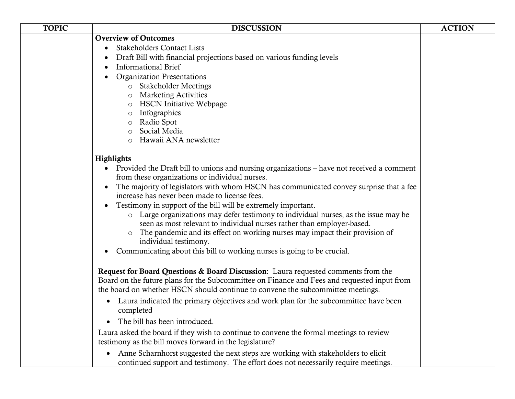| <b>TOPIC</b> | <b>DISCUSSION</b>                                                                                                                                                                    | <b>ACTION</b> |
|--------------|--------------------------------------------------------------------------------------------------------------------------------------------------------------------------------------|---------------|
|              | <b>Overview of Outcomes</b>                                                                                                                                                          |               |
|              | <b>Stakeholders Contact Lists</b>                                                                                                                                                    |               |
|              | Draft Bill with financial projections based on various funding levels                                                                                                                |               |
|              | <b>Informational Brief</b>                                                                                                                                                           |               |
|              | <b>Organization Presentations</b>                                                                                                                                                    |               |
|              | o Stakeholder Meetings                                                                                                                                                               |               |
|              | <b>Marketing Activities</b><br>$\circ$                                                                                                                                               |               |
|              | <b>HSCN Initiative Webpage</b><br>$\circ$                                                                                                                                            |               |
|              | Infographics<br>$\circ$                                                                                                                                                              |               |
|              | Radio Spot<br>$\circ$                                                                                                                                                                |               |
|              | Social Media<br>$\circ$                                                                                                                                                              |               |
|              | Hawaii ANA newsletter<br>$\circ$                                                                                                                                                     |               |
|              | Highlights                                                                                                                                                                           |               |
|              | Provided the Draft bill to unions and nursing organizations – have not received a comment                                                                                            |               |
|              | from these organizations or individual nurses.                                                                                                                                       |               |
|              | The majority of legislators with whom HSCN has communicated convey surprise that a fee                                                                                               |               |
|              | increase has never been made to license fees.                                                                                                                                        |               |
|              | Testimony in support of the bill will be extremely important.<br>$\bullet$                                                                                                           |               |
|              | o Large organizations may defer testimony to individual nurses, as the issue may be                                                                                                  |               |
|              | seen as most relevant to individual nurses rather than employer-based.                                                                                                               |               |
|              | The pandemic and its effect on working nurses may impact their provision of<br>$\circ$                                                                                               |               |
|              | individual testimony.                                                                                                                                                                |               |
|              | Communicating about this bill to working nurses is going to be crucial.                                                                                                              |               |
|              |                                                                                                                                                                                      |               |
|              | Request for Board Questions & Board Discussion: Laura requested comments from the                                                                                                    |               |
|              | Board on the future plans for the Subcommittee on Finance and Fees and requested input from<br>the board on whether HSCN should continue to convene the subcommittee meetings.       |               |
|              |                                                                                                                                                                                      |               |
|              | Laura indicated the primary objectives and work plan for the subcommittee have been<br>$\bullet$<br>completed                                                                        |               |
|              | The bill has been introduced.                                                                                                                                                        |               |
|              | Laura asked the board if they wish to continue to convene the formal meetings to review<br>testimony as the bill moves forward in the legislature?                                   |               |
|              | Anne Scharnhorst suggested the next steps are working with stakeholders to elicit<br>$\bullet$<br>continued support and testimony. The effort does not necessarily require meetings. |               |
|              |                                                                                                                                                                                      |               |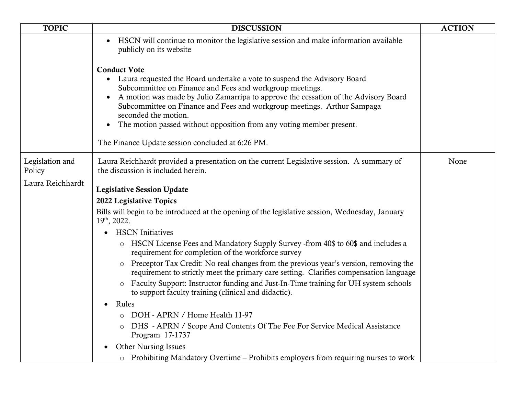| <b>TOPIC</b>              | <b>DISCUSSION</b>                                                                                                                                                                                                                                                                                                                                                                                                                                                                              | <b>ACTION</b> |
|---------------------------|------------------------------------------------------------------------------------------------------------------------------------------------------------------------------------------------------------------------------------------------------------------------------------------------------------------------------------------------------------------------------------------------------------------------------------------------------------------------------------------------|---------------|
|                           | HSCN will continue to monitor the legislative session and make information available<br>publicly on its website                                                                                                                                                                                                                                                                                                                                                                                |               |
|                           | <b>Conduct Vote</b><br>Laura requested the Board undertake a vote to suspend the Advisory Board<br>$\bullet$<br>Subcommittee on Finance and Fees and workgroup meetings.<br>A motion was made by Julio Zamarripa to approve the cessation of the Advisory Board<br>Subcommittee on Finance and Fees and workgroup meetings. Arthur Sampaga<br>seconded the motion.<br>The motion passed without opposition from any voting member present.<br>The Finance Update session concluded at 6:26 PM. |               |
| Legislation and<br>Policy | Laura Reichhardt provided a presentation on the current Legislative session. A summary of<br>the discussion is included herein.                                                                                                                                                                                                                                                                                                                                                                | None          |
| Laura Reichhardt          | <b>Legislative Session Update</b>                                                                                                                                                                                                                                                                                                                                                                                                                                                              |               |
|                           | 2022 Legislative Topics                                                                                                                                                                                                                                                                                                                                                                                                                                                                        |               |
|                           | Bills will begin to be introduced at the opening of the legislative session, Wednesday, January<br>$19th$ , 2022.                                                                                                                                                                                                                                                                                                                                                                              |               |
|                           | <b>HSCN</b> Initiatives                                                                                                                                                                                                                                                                                                                                                                                                                                                                        |               |
|                           | o HSCN License Fees and Mandatory Supply Survey -from 40\$ to 60\$ and includes a<br>requirement for completion of the workforce survey                                                                                                                                                                                                                                                                                                                                                        |               |
|                           | Preceptor Tax Credit: No real changes from the previous year's version, removing the<br>requirement to strictly meet the primary care setting. Clarifies compensation language                                                                                                                                                                                                                                                                                                                 |               |
|                           | Faculty Support: Instructor funding and Just-In-Time training for UH system schools<br>to support faculty training (clinical and didactic).                                                                                                                                                                                                                                                                                                                                                    |               |
|                           | Rules<br>$\bullet$                                                                                                                                                                                                                                                                                                                                                                                                                                                                             |               |
|                           | DOH - APRN / Home Health 11-97                                                                                                                                                                                                                                                                                                                                                                                                                                                                 |               |
|                           | DHS - APRN / Scope And Contents Of The Fee For Service Medical Assistance<br>Program 17-1737                                                                                                                                                                                                                                                                                                                                                                                                   |               |
|                           | <b>Other Nursing Issues</b>                                                                                                                                                                                                                                                                                                                                                                                                                                                                    |               |
|                           | o Prohibiting Mandatory Overtime – Prohibits employers from requiring nurses to work                                                                                                                                                                                                                                                                                                                                                                                                           |               |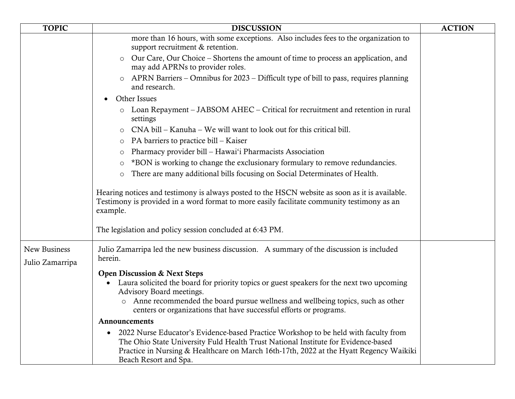| <b>TOPIC</b>                    | <b>DISCUSSION</b>                                                                                                                                                                                                                                                                                                                   | <b>ACTION</b> |
|---------------------------------|-------------------------------------------------------------------------------------------------------------------------------------------------------------------------------------------------------------------------------------------------------------------------------------------------------------------------------------|---------------|
|                                 | more than 16 hours, with some exceptions. Also includes fees to the organization to<br>support recruitment & retention.                                                                                                                                                                                                             |               |
|                                 | Our Care, Our Choice – Shortens the amount of time to process an application, and<br>may add APRNs to provider roles.                                                                                                                                                                                                               |               |
|                                 | APRN Barriers – Omnibus for 2023 – Difficult type of bill to pass, requires planning<br>and research.                                                                                                                                                                                                                               |               |
|                                 | Other Issues                                                                                                                                                                                                                                                                                                                        |               |
|                                 | Loan Repayment – JABSOM AHEC – Critical for recruitment and retention in rural<br>settings                                                                                                                                                                                                                                          |               |
|                                 | CNA bill – Kanuha – We will want to look out for this critical bill.<br>$\circ$                                                                                                                                                                                                                                                     |               |
|                                 | PA barriers to practice bill – Kaiser<br>$\circ$                                                                                                                                                                                                                                                                                    |               |
|                                 | Pharmacy provider bill – Hawai'i Pharmacists Association                                                                                                                                                                                                                                                                            |               |
|                                 | *BON is working to change the exclusionary formulary to remove redundancies.<br>$\circ$                                                                                                                                                                                                                                             |               |
|                                 | There are many additional bills focusing on Social Determinates of Health.<br>$\circ$                                                                                                                                                                                                                                               |               |
|                                 | Hearing notices and testimony is always posted to the HSCN website as soon as it is available.<br>Testimony is provided in a word format to more easily facilitate community testimony as an<br>example.                                                                                                                            |               |
|                                 | The legislation and policy session concluded at 6:43 PM.                                                                                                                                                                                                                                                                            |               |
| New Business<br>Julio Zamarripa | Julio Zamarripa led the new business discussion. A summary of the discussion is included<br>herein.                                                                                                                                                                                                                                 |               |
|                                 | <b>Open Discussion &amp; Next Steps</b><br>Laura solicited the board for priority topics or guest speakers for the next two upcoming<br>Advisory Board meetings.<br>Anne recommended the board pursue wellness and wellbeing topics, such as other<br>$\circ$<br>centers or organizations that have successful efforts or programs. |               |
|                                 | Announcements                                                                                                                                                                                                                                                                                                                       |               |
|                                 | 2022 Nurse Educator's Evidence-based Practice Workshop to be held with faculty from<br>The Ohio State University Fuld Health Trust National Institute for Evidence-based<br>Practice in Nursing & Healthcare on March 16th-17th, 2022 at the Hyatt Regency Waikiki<br>Beach Resort and Spa.                                         |               |